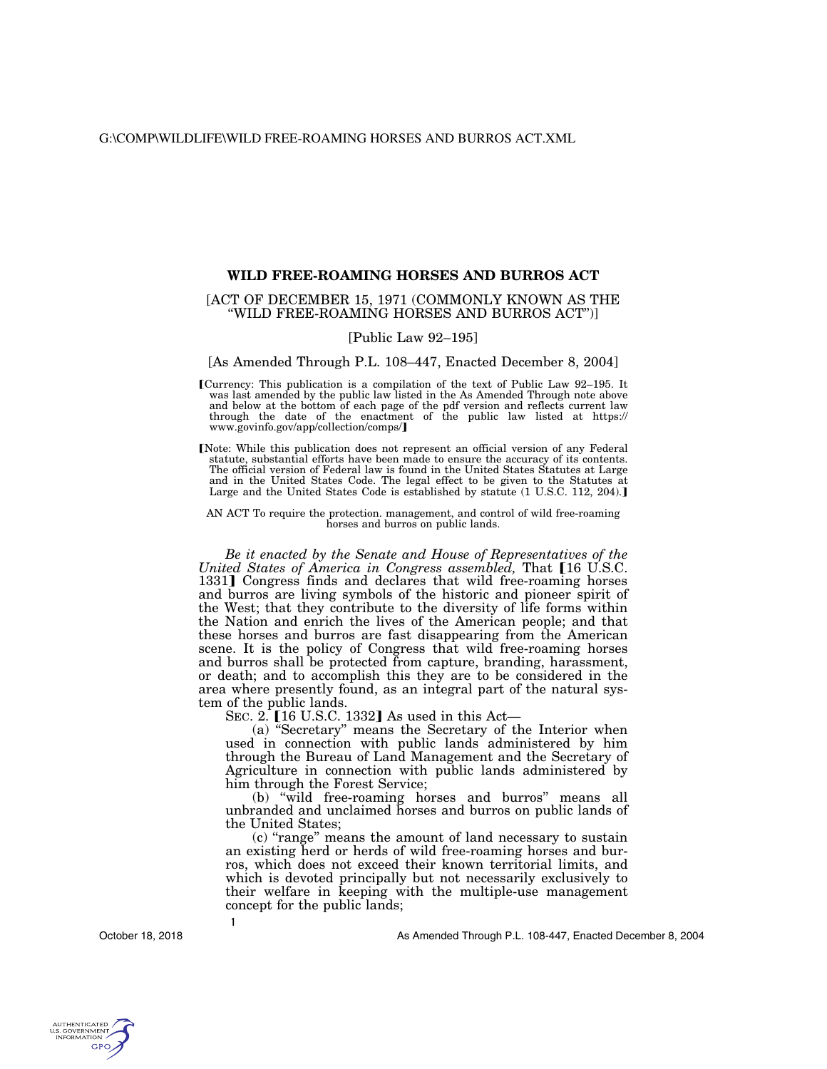G:\COMP\WILDLIFE\WILD FREE-ROAMING HORSES AND BURROS ACT.XML

## **WILD FREE-ROAMING HORSES AND BURROS ACT**

### [ACT OF DECEMBER 15, 1971 (COMMONLY KNOWN AS THE ''WILD FREE-ROAMING HORSES AND BURROS ACT'')]

### [Public Law 92–195]

[As Amended Through P.L. 108–447, Enacted December 8, 2004]

- øCurrency: This publication is a compilation of the text of Public Law 92–195. It was last amended by the public law listed in the As Amended Through note above and below at the bottom of each page of the pdf version and reflects current law through the date of the enactment of the public law listed at https:// www.govinfo.gov/app/collection/comps/¿
- [Note: While this publication does not represent an official version of any Federal statute, substantial efforts have been made to ensure the accuracy of its contents. The official version of Federal law is found in the United States Statutes at Large and in the United States Code. The legal effect to be given to the Statutes at Large and the United States Code is established by statute (1 U.S.C. 112, 204).]

AN ACT To require the protection. management, and control of wild free-roaming horses and burros on public lands.

*Be it enacted by the Senate and House of Representatives of the United States of America in Congress assembled, That* [16 U.S.C.] 1331] Congress finds and declares that wild free-roaming horses and burros are living symbols of the historic and pioneer spirit of the West; that they contribute to the diversity of life forms within the Nation and enrich the lives of the American people; and that these horses and burros are fast disappearing from the American scene. It is the policy of Congress that wild free-roaming horses and burros shall be protected from capture, branding, harassment, or death; and to accomplish this they are to be considered in the area where presently found, as an integral part of the natural system of the public lands.

SEC. 2.  $[16 \text{ U.S.C. } 1332]$  As used in this Act—

(a) ''Secretary'' means the Secretary of the Interior when used in connection with public lands administered by him through the Bureau of Land Management and the Secretary of Agriculture in connection with public lands administered by him through the Forest Service;

(b) ''wild free-roaming horses and burros'' means all unbranded and unclaimed horses and burros on public lands of the United States;

(c) ''range'' means the amount of land necessary to sustain an existing herd or herds of wild free-roaming horses and burros, which does not exceed their known territorial limits, and which is devoted principally but not necessarily exclusively to their welfare in keeping with the multiple-use management concept for the public lands;

October 18, 2018

**1** 

As Amended Through P.L. 108-447, Enacted December 8, 2004

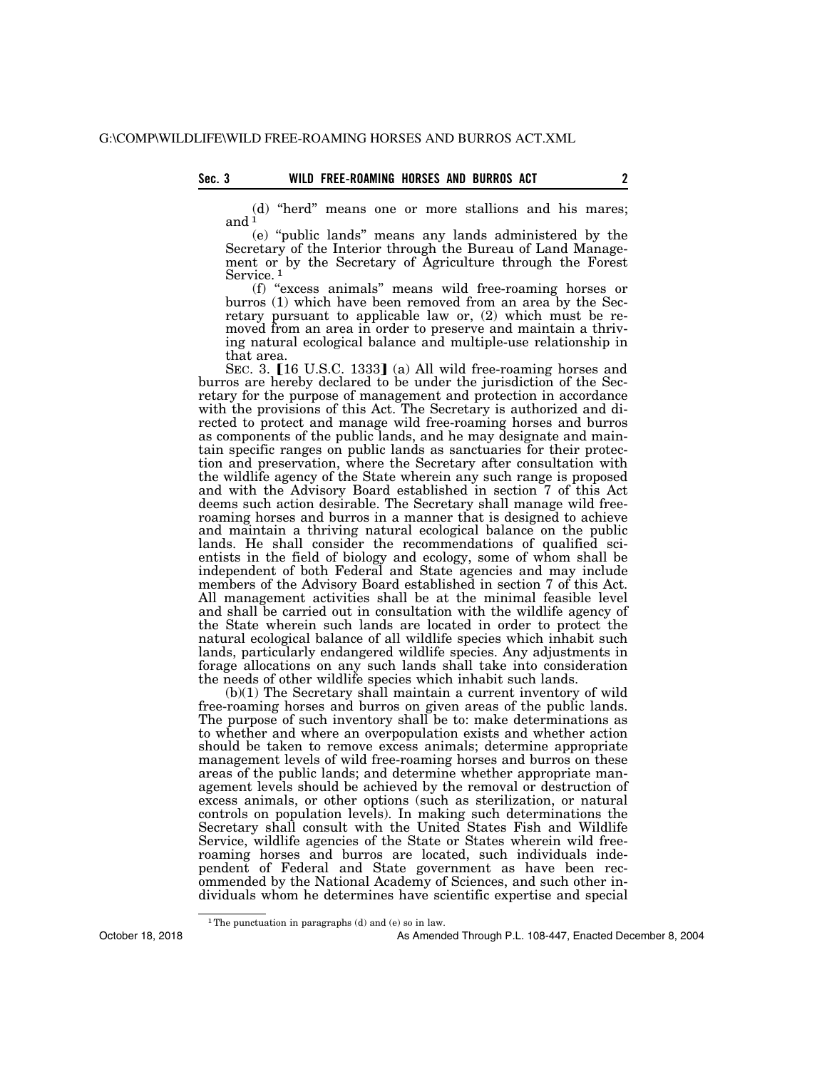(d) ''herd'' means one or more stallions and his mares; and 1

(e) ''public lands'' means any lands administered by the Secretary of the Interior through the Bureau of Land Management or by the Secretary of Agriculture through the Forest Service.<sup>1</sup>

(f) ''excess animals'' means wild free-roaming horses or burros (1) which have been removed from an area by the Secretary pursuant to applicable law or, (2) which must be removed from an area in order to preserve and maintain a thriving natural ecological balance and multiple-use relationship in that area.

SEC. 3. [16 U.S.C. 1333] (a) All wild free-roaming horses and burros are hereby declared to be under the jurisdiction of the Secretary for the purpose of management and protection in accordance with the provisions of this Act. The Secretary is authorized and directed to protect and manage wild free-roaming horses and burros as components of the public lands, and he may designate and maintain specific ranges on public lands as sanctuaries for their protection and preservation, where the Secretary after consultation with the wildlife agency of the State wherein any such range is proposed and with the Advisory Board established in section 7 of this Act deems such action desirable. The Secretary shall manage wild freeroaming horses and burros in a manner that is designed to achieve and maintain a thriving natural ecological balance on the public lands. He shall consider the recommendations of qualified scientists in the field of biology and ecology, some of whom shall be independent of both Federal and State agencies and may include members of the Advisory Board established in section 7 of this Act. All management activities shall be at the minimal feasible level and shall be carried out in consultation with the wildlife agency of the State wherein such lands are located in order to protect the natural ecological balance of all wildlife species which inhabit such lands, particularly endangered wildlife species. Any adjustments in forage allocations on any such lands shall take into consideration the needs of other wildlife species which inhabit such lands.

(b)(1) The Secretary shall maintain a current inventory of wild free-roaming horses and burros on given areas of the public lands. The purpose of such inventory shall be to: make determinations as to whether and where an overpopulation exists and whether action should be taken to remove excess animals; determine appropriate management levels of wild free-roaming horses and burros on these areas of the public lands; and determine whether appropriate management levels should be achieved by the removal or destruction of excess animals, or other options (such as sterilization, or natural controls on population levels). In making such determinations the Secretary shall consult with the United States Fish and Wildlife Service, wildlife agencies of the State or States wherein wild freeroaming horses and burros are located, such individuals independent of Federal and State government as have been recommended by the National Academy of Sciences, and such other individuals whom he determines have scientific expertise and special

As Amended Through P.L. 108-447, Enacted December 8, 2004

<sup>1</sup>The punctuation in paragraphs (d) and (e) so in law.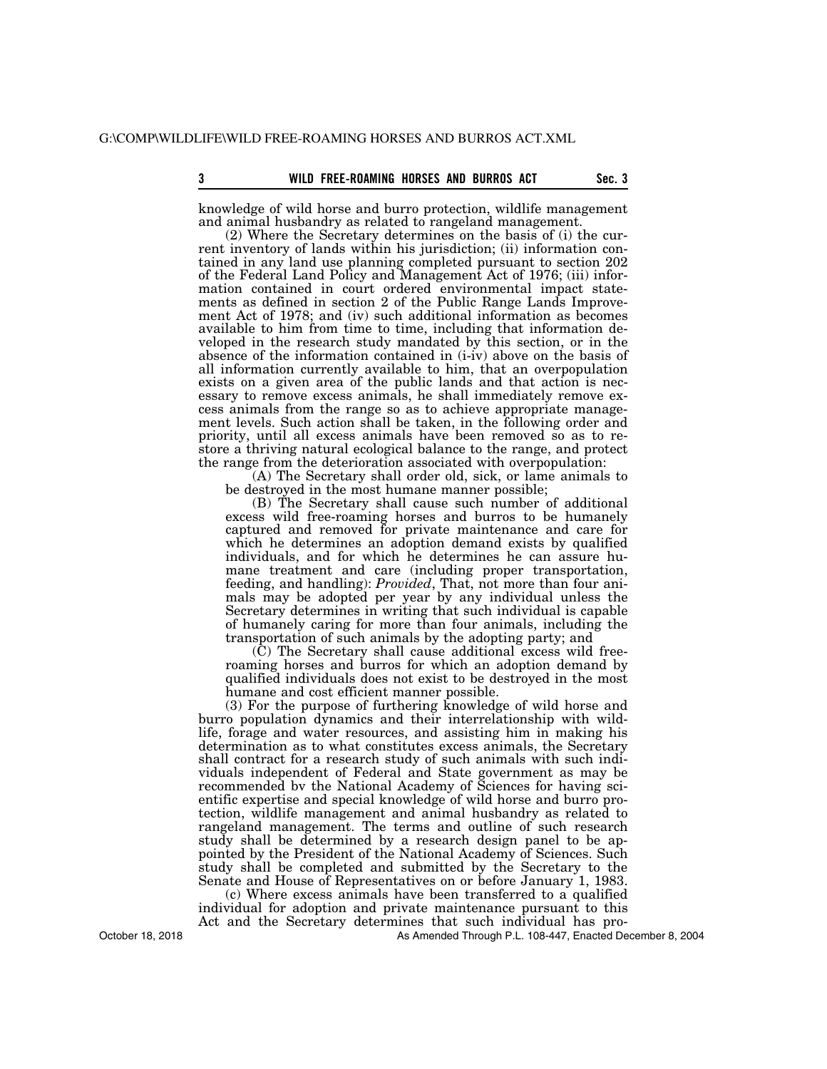# **3 Sec. 3 WILD FREE-ROAMING HORSES AND BURROS ACT**

knowledge of wild horse and burro protection, wildlife management and animal husbandry as related to rangeland management.

(2) Where the Secretary determines on the basis of (i) the current inventory of lands within his jurisdiction; (ii) information contained in any land use planning completed pursuant to section 202 of the Federal Land Policy and Management Act of 1976; (iii) information contained in court ordered environmental impact statements as defined in section 2 of the Public Range Lands Improvement Act of 1978; and (iv) such additional information as becomes available to him from time to time, including that information developed in the research study mandated by this section, or in the absence of the information contained in (i-iv) above on the basis of all information currently available to him, that an overpopulation exists on a given area of the public lands and that action is necessary to remove excess animals, he shall immediately remove excess animals from the range so as to achieve appropriate management levels. Such action shall be taken, in the following order and priority, until all excess animals have been removed so as to restore a thriving natural ecological balance to the range, and protect the range from the deterioration associated with overpopulation:

(A) The Secretary shall order old, sick, or lame animals to be destroyed in the most humane manner possible;

(B) The Secretary shall cause such number of additional excess wild free-roaming horses and burros to be humanely captured and removed for private maintenance and care for which he determines an adoption demand exists by qualified individuals, and for which he determines he can assure humane treatment and care (including proper transportation, feeding, and handling): *Provided*, That, not more than four animals may be adopted per year by any individual unless the Secretary determines in writing that such individual is capable of humanely caring for more than four animals, including the transportation of such animals by the adopting party; and

(C) The Secretary shall cause additional excess wild freeroaming horses and burros for which an adoption demand by qualified individuals does not exist to be destroyed in the most humane and cost efficient manner possible.

(3) For the purpose of furthering knowledge of wild horse and burro population dynamics and their interrelationship with wildlife, forage and water resources, and assisting him in making his determination as to what constitutes excess animals, the Secretary shall contract for a research study of such animals with such individuals independent of Federal and State government as may be recommended bv the National Academy of Sciences for having scientific expertise and special knowledge of wild horse and burro protection, wildlife management and animal husbandry as related to rangeland management. The terms and outline of such research study shall be determined by a research design panel to be appointed by the President of the National Academy of Sciences. Such study shall be completed and submitted by the Secretary to the Senate and House of Representatives on or before January 1, 1983.

(c) Where excess animals have been transferred to a qualified individual for adoption and private maintenance pursuant to this Act and the Secretary determines that such individual has pro-

As Amended Through P.L. 108-447, Enacted December 8, 2004

October 18, 2018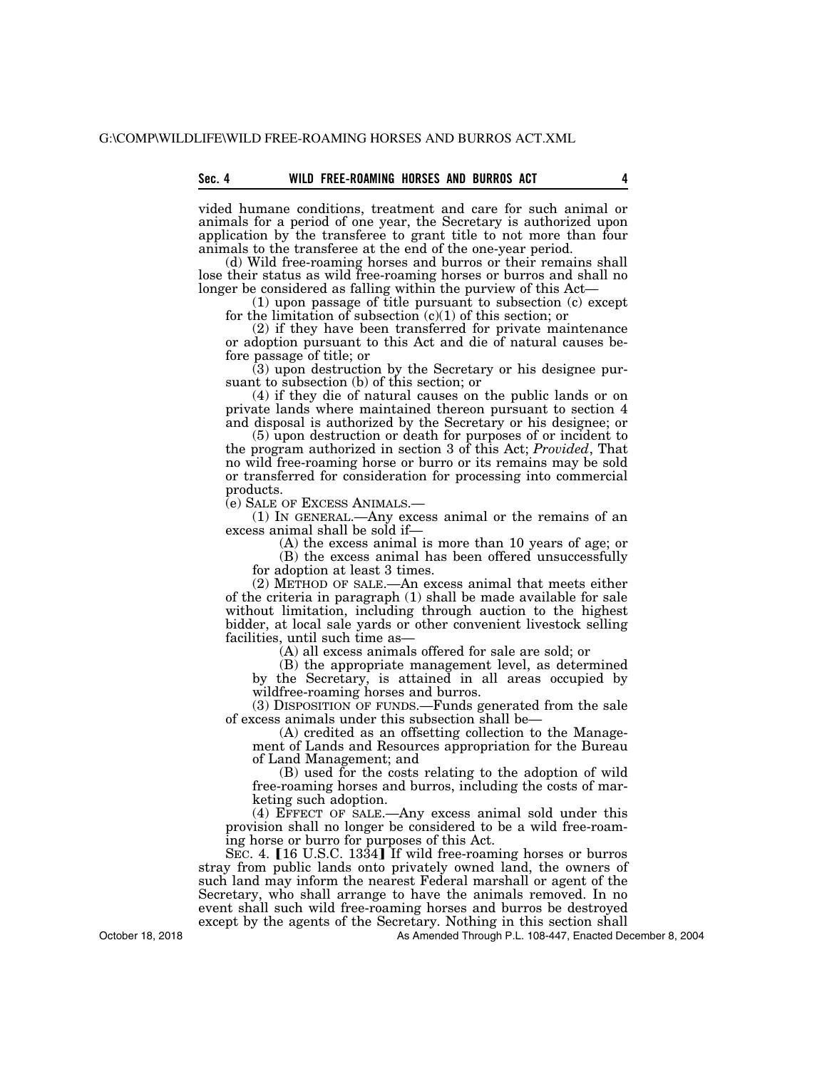### **Sec. 4 WILD FREE-ROAMING HORSES AND BURROS ACT 4**

vided humane conditions, treatment and care for such animal or animals for a period of one year, the Secretary is authorized upon application by the transferee to grant title to not more than four animals to the transferee at the end of the one-year period.

(d) Wild free-roaming horses and burros or their remains shall lose their status as wild free-roaming horses or burros and shall no longer be considered as falling within the purview of this Act—

(1) upon passage of title pursuant to subsection (c) except for the limitation of subsection  $(c)(1)$  of this section; or

(2) if they have been transferred for private maintenance or adoption pursuant to this Act and die of natural causes before passage of title; or

(3) upon destruction by the Secretary or his designee pursuant to subsection (b) of this section; or

(4) if they die of natural causes on the public lands or on private lands where maintained thereon pursuant to section 4 and disposal is authorized by the Secretary or his designee; or

(5) upon destruction or death for purposes of or incident to the program authorized in section 3 of this Act; *Provided*, That no wild free-roaming horse or burro or its remains may be sold or transferred for consideration for processing into commercial products.<br>(e) SALE OF EXCESS ANIMALS.—

 $(1)$  In GENERAL.—Any excess animal or the remains of an excess animal shall be sold if—

(A) the excess animal is more than 10 years of age; or (B) the excess animal has been offered unsuccessfully

for adoption at least 3 times.

(2) METHOD OF SALE.—An excess animal that meets either of the criteria in paragraph (1) shall be made available for sale without limitation, including through auction to the highest bidder, at local sale yards or other convenient livestock selling facilities, until such time as—

(A) all excess animals offered for sale are sold; or

(B) the appropriate management level, as determined by the Secretary, is attained in all areas occupied by wildfree-roaming horses and burros.

(3) DISPOSITION OF FUNDS.—Funds generated from the sale of excess animals under this subsection shall be—

(A) credited as an offsetting collection to the Management of Lands and Resources appropriation for the Bureau of Land Management; and

(B) used for the costs relating to the adoption of wild free-roaming horses and burros, including the costs of marketing such adoption.

(4) EFFECT OF SALE.—Any excess animal sold under this provision shall no longer be considered to be a wild free-roaming horse or burro for purposes of this Act.<br>SEC. 4. [16 U.S.C. 1334] If wild free-roaming horses or burros

stray from public lands onto privately owned land, the owners of such land may inform the nearest Federal marshall or agent of the Secretary, who shall arrange to have the animals removed. In no event shall such wild free-roaming horses and burros be destroyed except by the agents of the Secretary. Nothing in this section shall

As Amended Through P.L. 108-447, Enacted December 8, 2004

October 18, 2018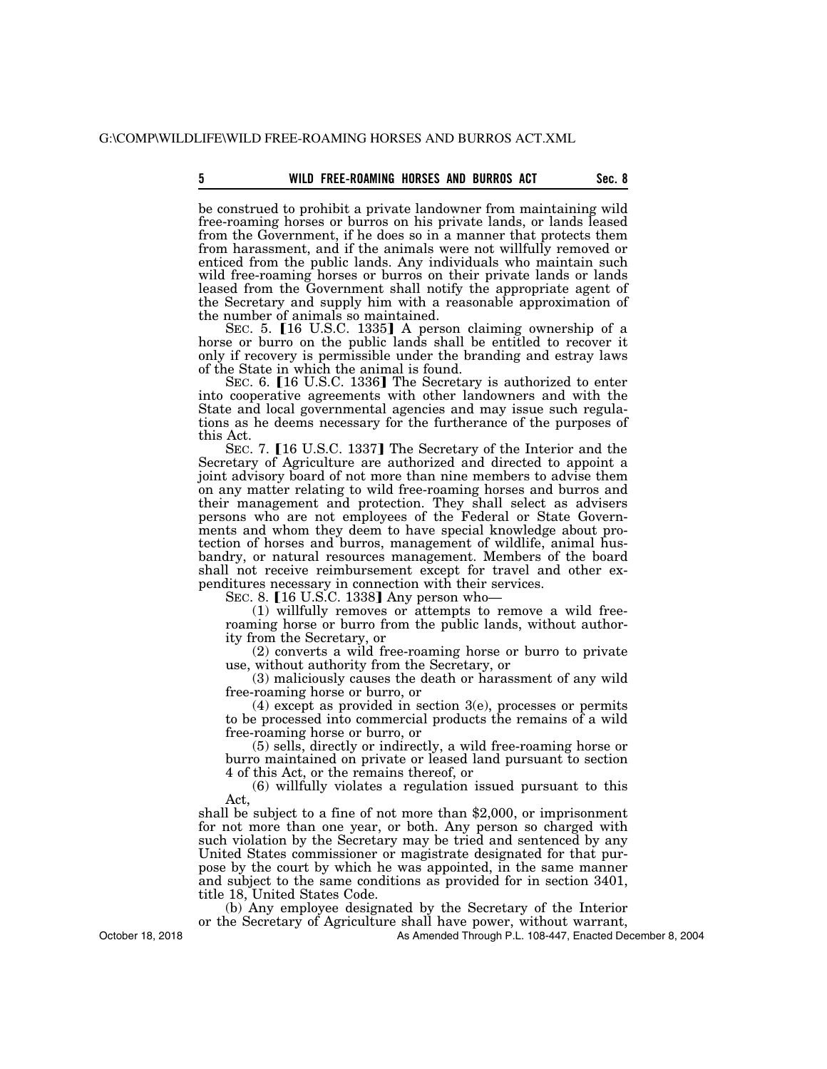be construed to prohibit a private landowner from maintaining wild free-roaming horses or burros on his private lands, or lands leased from the Government, if he does so in a manner that protects them from harassment, and if the animals were not willfully removed or enticed from the public lands. Any individuals who maintain such wild free-roaming horses or burros on their private lands or lands leased from the Government shall notify the appropriate agent of the Secretary and supply him with a reasonable approximation of the number of animals so maintained.

SEC. 5. [16 U.S.C. 1335] A person claiming ownership of a horse or burro on the public lands shall be entitled to recover it only if recovery is permissible under the branding and estray laws of the State in which the animal is found.

SEC. 6. [16 U.S.C. 1336] The Secretary is authorized to enter into cooperative agreements with other landowners and with the State and local governmental agencies and may issue such regulations as he deems necessary for the furtherance of the purposes of this Act.

SEC. 7. **[16 U.S.C. 1337]** The Secretary of the Interior and the Secretary of Agriculture are authorized and directed to appoint a joint advisory board of not more than nine members to advise them on any matter relating to wild free-roaming horses and burros and their management and protection. They shall select as advisers persons who are not employees of the Federal or State Governments and whom they deem to have special knowledge about protection of horses and burros, management of wildlife, animal husbandry, or natural resources management. Members of the board shall not receive reimbursement except for travel and other expenditures necessary in connection with their services.

SEC. 8.  $[16 \text{ U.S.C. } 1338]$  Any person who-

(1) willfully removes or attempts to remove a wild freeroaming horse or burro from the public lands, without authority from the Secretary, or

(2) converts a wild free-roaming horse or burro to private use, without authority from the Secretary, or

(3) maliciously causes the death or harassment of any wild free-roaming horse or burro, or

(4) except as provided in section 3(e), processes or permits to be processed into commercial products the remains of a wild free-roaming horse or burro, or

(5) sells, directly or indirectly, a wild free-roaming horse or burro maintained on private or leased land pursuant to section 4 of this Act, or the remains thereof, or

(6) willfully violates a regulation issued pursuant to this Act,

shall be subject to a fine of not more than \$2,000, or imprisonment for not more than one year, or both. Any person so charged with such violation by the Secretary may be tried and sentenced by any United States commissioner or magistrate designated for that purpose by the court by which he was appointed, in the same manner and subject to the same conditions as provided for in section 3401, title 18, United States Code.

(b) Any employee designated by the Secretary of the Interior

or the Secretary of Agriculture shall have power, without warrant,

As Amended Through P.L. 108-447, Enacted December 8, 2004

October 18, 2018